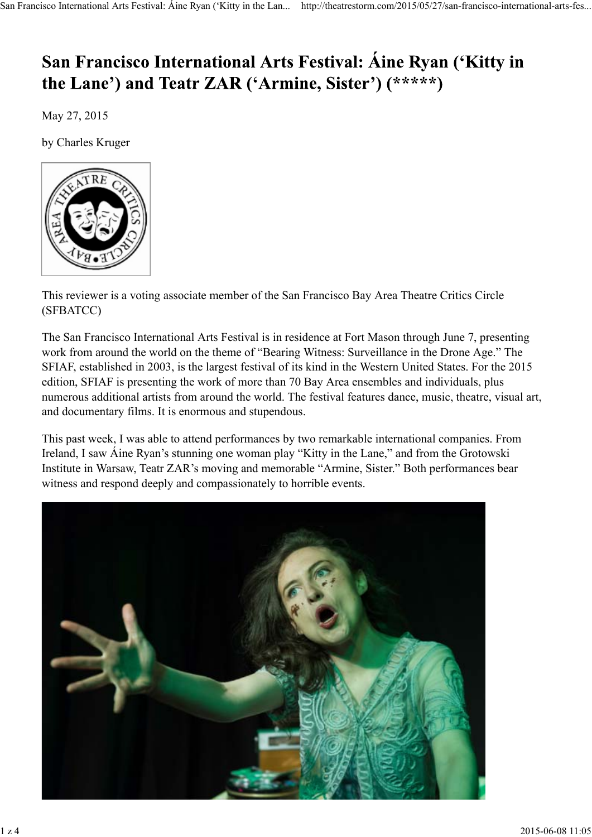## San Francisco International Arts Festival: Aine Ryan ('Kitty in the Lane') and Teatr ZAR ('Armine, Sister') (\*\*\*\*\*)

May 27, 2015

by Charles Kruger



This reviewer is a voting associate member of the San Francisco Bay Area Theatre Critics Circle (SFBATCC)

The San Francisco International Arts Festival is in residence at Fort Mason through June 7, presenting work from around the world on the theme of "Bearing Witness: Surveillance in the Drone Age." The SFIAF, established in 2003, is the largest festival of its kind in the Western United States. For the 2015 edition, SFIAF is presenting the work of more than 70 Bay Area ensembles and individuals, plus numerous additional artists from around the world. The festival features dance, music, theatre, visual art, and documentary films. It is enormous and stupendous.

This past week, I was able to attend performances by two remarkable international companies. From Ireland, I saw Áine Ryan's stunning one woman play "Kitty in the Lane," and from the Grotowski Institute in Warsaw, Teatr ZAR's moving and memorable "Armine, Sister." Both performances bear witness and respond deeply and compassionately to horrible events.

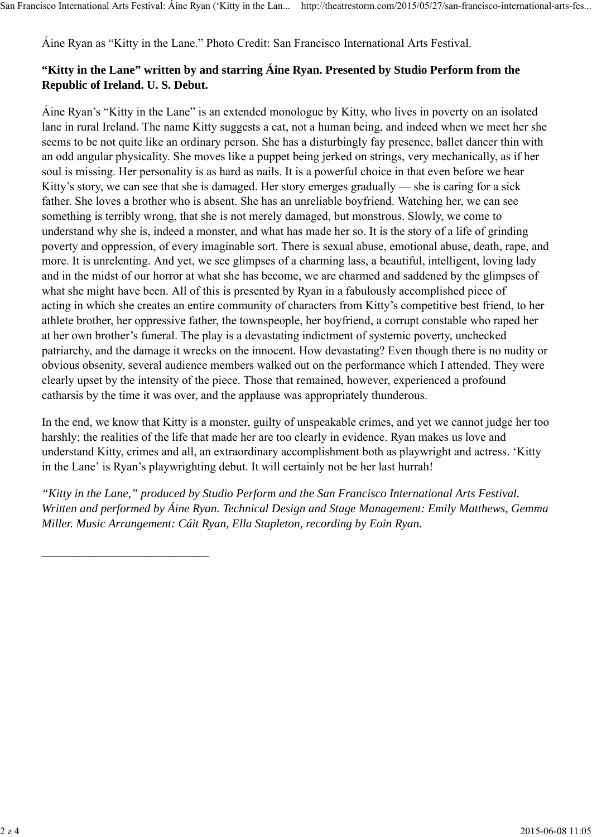\_\_\_\_\_\_\_\_\_\_\_\_\_\_\_\_\_\_\_\_\_\_\_\_\_\_\_\_

Áine Ryan as "Kitty in the Lane." Photo Credit: San Francisco International Arts Festival.

## **"Kitty in the Lane" written by and starring Áine Ryan. Presented by Studio Perform from the Republic of Ireland. U. S. Debut.**

Áine Ryan's "Kitty in the Lane" is an extended monologue by Kitty, who lives in poverty on an isolated lane in rural Ireland. The name Kitty suggests a cat, not a human being, and indeed when we meet her she seems to be not quite like an ordinary person. She has a disturbingly fay presence, ballet dancer thin with an odd angular physicality. She moves like a puppet being jerked on strings, very mechanically, as if her soul is missing. Her personality is as hard as nails. It is a powerful choice in that even before we hear Kitty's story, we can see that she is damaged. Her story emerges gradually — she is caring for a sick father. She loves a brother who is absent. She has an unreliable boyfriend. Watching her, we can see something is terribly wrong, that she is not merely damaged, but monstrous. Slowly, we come to understand why she is, indeed a monster, and what has made her so. It is the story of a life of grinding poverty and oppression, of every imaginable sort. There is sexual abuse, emotional abuse, death, rape, and more. It is unrelenting. And yet, we see glimpses of a charming lass, a beautiful, intelligent, loving lady and in the midst of our horror at what she has become, we are charmed and saddened by the glimpses of what she might have been. All of this is presented by Ryan in a fabulously accomplished piece of acting in which she creates an entire community of characters from Kitty's competitive best friend, to her athlete brother, her oppressive father, the townspeople, her boyfriend, a corrupt constable who raped her at her own brother's funeral. The play is a devastating indictment of systemic poverty, unchecked patriarchy, and the damage it wrecks on the innocent. How devastating? Even though there is no nudity or obvious obsenity, several audience members walked out on the performance which I attended. They were clearly upset by the intensity of the piece. Those that remained, however, experienced a profound catharsis by the time it was over, and the applause was appropriately thunderous.

In the end, we know that Kitty is a monster, guilty of unspeakable crimes, and yet we cannot judge her too harshly; the realities of the life that made her are too clearly in evidence. Ryan makes us love and understand Kitty, crimes and all, an extraordinary accomplishment both as playwright and actress. 'Kitty in the Lane' is Ryan's playwrighting debut. It will certainly not be her last hurrah!

*"Kitty in the Lane," produced by Studio Perform and the San Francisco International Arts Festival. Written and performed by Áine Ryan. Technical Design and Stage Management: Emily Matthews, Gemma Miller. Music Arrangement: Cáit Ryan, Ella Stapleton, recording by Eoin Ryan.*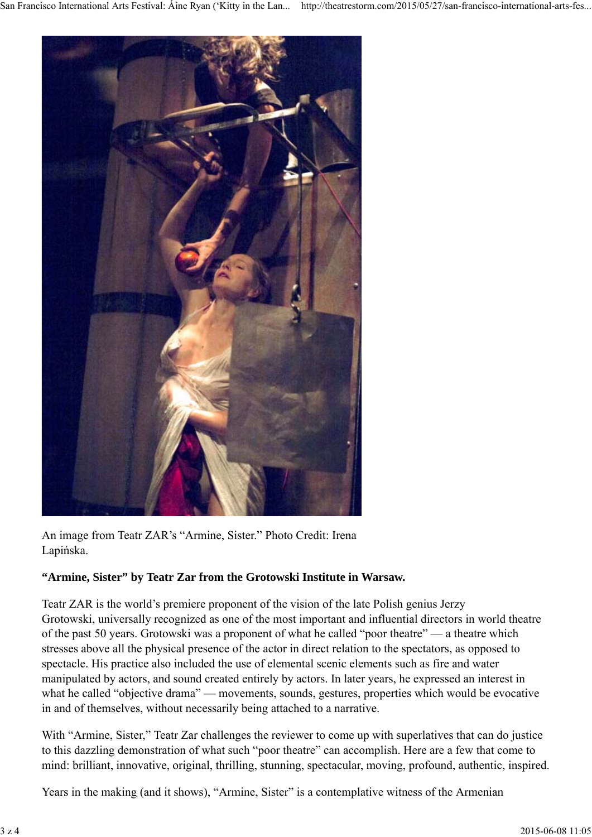

An image from Teatr ZAR's "Armine, Sister." Photo Credit: Irena Lapińska.

## **"Armine, Sister" by Teatr Zar from the Grotowski Institute in Warsaw.**

Teatr ZAR is the world's premiere proponent of the vision of the late Polish genius Jerzy Grotowski, universally recognized as one of the most important and influential directors in world theatre of the past 50 years. Grotowski was a proponent of what he called "poor theatre" — a theatre which stresses above all the physical presence of the actor in direct relation to the spectators, as opposed to spectacle. His practice also included the use of elemental scenic elements such as fire and water manipulated by actors, and sound created entirely by actors. In later years, he expressed an interest in what he called "objective drama" — movements, sounds, gestures, properties which would be evocative in and of themselves, without necessarily being attached to a narrative.

With "Armine, Sister," Teatr Zar challenges the reviewer to come up with superlatives that can do justice to this dazzling demonstration of what such "poor theatre" can accomplish. Here are a few that come to mind: brilliant, innovative, original, thrilling, stunning, spectacular, moving, profound, authentic, inspired.

Years in the making (and it shows), "Armine, Sister" is a contemplative witness of the Armenian